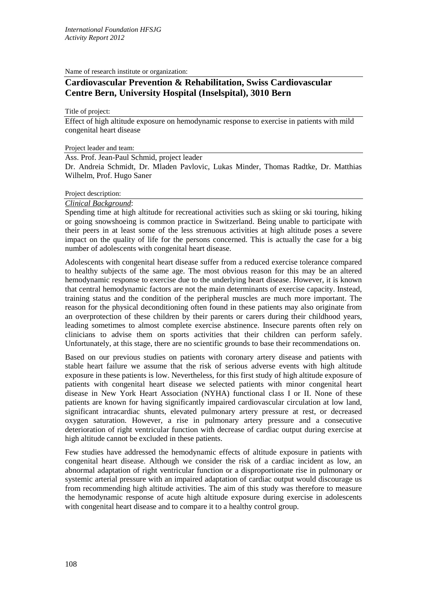Name of research institute or organization:

# **Cardiovascular Prevention & Rehabilitation, Swiss Cardiovascular Centre Bern, University Hospital (Inselspital), 3010 Bern**

Title of project:

Effect of high altitude exposure on hemodynamic response to exercise in patients with mild congenital heart disease

Project leader and team:

Ass. Prof. Jean-Paul Schmid, project leader

Dr. Andreia Schmidt, Dr. Mladen Pavlovic, Lukas Minder, Thomas Radtke, Dr. Matthias Wilhelm, Prof. Hugo Saner

### Project description:

#### *Clinical Background*:

Spending time at high altitude for recreational activities such as skiing or ski touring, hiking or going snowshoeing is common practice in Switzerland. Being unable to participate with their peers in at least some of the less strenuous activities at high altitude poses a severe impact on the quality of life for the persons concerned. This is actually the case for a big number of adolescents with congenital heart disease.

Adolescents with congenital heart disease suffer from a reduced exercise tolerance compared to healthy subjects of the same age. The most obvious reason for this may be an altered hemodynamic response to exercise due to the underlying heart disease. However, it is known that central hemodynamic factors are not the main determinants of exercise capacity. Instead, training status and the condition of the peripheral muscles are much more important. The reason for the physical deconditioning often found in these patients may also originate from an overprotection of these children by their parents or carers during their childhood years, leading sometimes to almost complete exercise abstinence. Insecure parents often rely on clinicians to advise them on sports activities that their children can perform safely. Unfortunately, at this stage, there are no scientific grounds to base their recommendations on.

Based on our previous studies on patients with coronary artery disease and patients with stable heart failure we assume that the risk of serious adverse events with high altitude exposure in these patients is low. Nevertheless, for this first study of high altitude exposure of patients with congenital heart disease we selected patients with minor congenital heart disease in New York Heart Association (NYHA) functional class I or II. None of these patients are known for having significantly impaired cardiovascular circulation at low land, significant intracardiac shunts, elevated pulmonary artery pressure at rest, or decreased oxygen saturation. However, a rise in pulmonary artery pressure and a consecutive deterioration of right ventricular function with decrease of cardiac output during exercise at high altitude cannot be excluded in these patients.

Few studies have addressed the hemodynamic effects of altitude exposure in patients with congenital heart disease. Although we consider the risk of a cardiac incident as low, an abnormal adaptation of right ventricular function or a disproportionate rise in pulmonary or systemic arterial pressure with an impaired adaptation of cardiac output would discourage us from recommending high altitude activities. The aim of this study was therefore to measure the hemodynamic response of acute high altitude exposure during exercise in adolescents with congenital heart disease and to compare it to a healthy control group.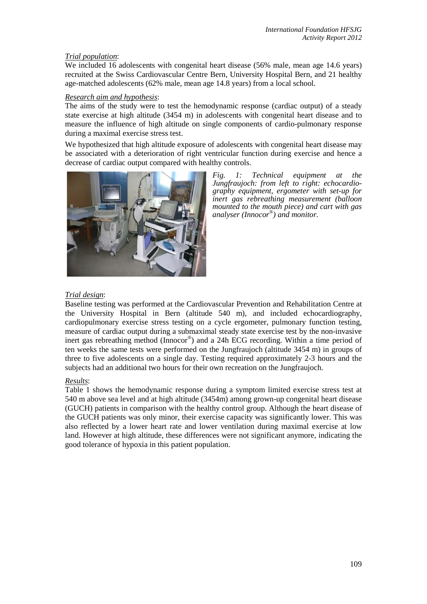## *Trial population*:

We included 16 adolescents with congenital heart disease (56% male, mean age 14.6 years) recruited at the Swiss Cardiovascular Centre Bern, University Hospital Bern, and 21 healthy age-matched adolescents (62% male, mean age 14.8 years) from a local school.

## *Research aim and hypothesis*:

The aims of the study were to test the hemodynamic response (cardiac output) of a steady state exercise at high altitude (3454 m) in adolescents with congenital heart disease and to measure the influence of high altitude on single components of cardio-pulmonary response during a maximal exercise stress test.

We hypothesized that high altitude exposure of adolescents with congenital heart disease may be associated with a deterioration of right ventricular function during exercise and hence a decrease of cardiac output compared with healthy controls.



*Fig. 1: Technical equipment at the Jungfraujoch: from left to right: echocardio- graphy equipment, ergometer with set-up for inert gas rebreathing measurement (balloon mounted to the mouth piece) and cart with gas analyser (Innocor®) and monitor.* 

# *Trial design*:

Baseline testing was performed at the Cardiovascular Prevention and Rehabilitation Centre at the University Hospital in Bern (altitude 540 m), and included echocardiography, cardiopulmonary exercise stress testing on a cycle ergometer, pulmonary function testing, measure of cardiac output during a submaximal steady state exercise test by the non-invasive inert gas rebreathing method (Innocor®) and a 24h ECG recording. Within a time period of ten weeks the same tests were performed on the Jungfraujoch (altitude 3454 m) in groups of three to five adolescents on a single day. Testing required approximately 2-3 hours and the subjects had an additional two hours for their own recreation on the Jungfraujoch.

## *Results*:

Table 1 shows the hemodynamic response during a symptom limited exercise stress test at 540 m above sea level and at high altitude (3454m) among grown-up congenital heart disease (GUCH) patients in comparison with the healthy control group. Although the heart disease of the GUCH patients was only minor, their exercise capacity was significantly lower. This was also reflected by a lower heart rate and lower ventilation during maximal exercise at low land. However at high altitude, these differences were not significant anymore, indicating the good tolerance of hypoxia in this patient population.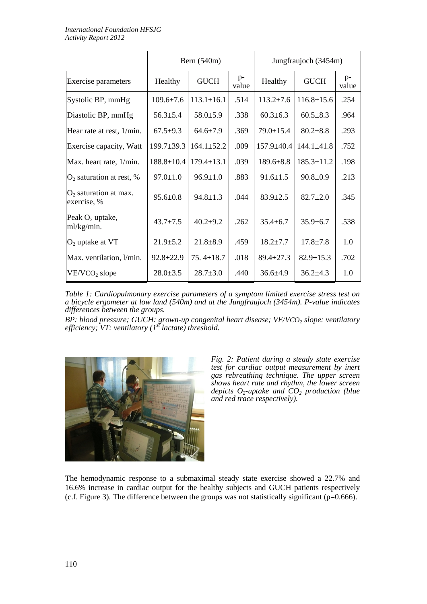|                                        | Bern (540m)      |                  |               | Jungfraujoch (3454m) |                  |               |
|----------------------------------------|------------------|------------------|---------------|----------------------|------------------|---------------|
| Exercise parameters                    | Healthy          | <b>GUCH</b>      | $p-$<br>value | Healthy              | <b>GUCH</b>      | $p-$<br>value |
| Systolic BP, mmHg                      | $109.6 \pm 7.6$  | $113.1 \pm 16.1$ | .514          | $113.2 \pm 7.6$      | $116.8 \pm 15.6$ | .254          |
| Diastolic BP, mmHg                     | $56.3 \pm 5.4$   | $58.0 \pm 5.9$   | .338          | $60.3 \pm 6.3$       | $60.5 \pm 8.3$   | .964          |
| Hear rate at rest, 1/min.              | $67.5 \pm 9.3$   | $64.6 \pm 7.9$   | .369          | $79.0 \pm 15.4$      | $80.2 \pm 8.8$   | .293          |
| Exercise capacity, Watt                | $199.7 \pm 39.3$ | $164.1 \pm 52.2$ | .009          | $157.9 + 40.4$       | $144.1 \pm 41.8$ | .752          |
| Max. heart rate, 1/min.                | $188.8 \pm 10.4$ | $179.4 \pm 13.1$ | .039          | $189.6 \pm 8.8$      | $185.3 \pm 11.2$ | .198          |
| $O_2$ saturation at rest, %            | $97.0 \pm 1.0$   | $96.9 \pm 1.0$   | .883          | $91.6 \pm 1.5$       | $90.8 \pm 0.9$   | .213          |
| $O2$ saturation at max.<br>exercise, % | $95.6 \pm 0.8$   | $94.8 \pm 1.3$   | .044          | $83.9 \pm 2.5$       | $82.7 + 2.0$     | .345          |
| Peak $O_2$ uptake,<br>ml/kg/min.       | $43.7 \pm 7.5$   | $40.2 + 9.2$     | .262          | $35.4 \pm 6.7$       | $35.9 \pm 6.7$   | .538          |
| $O2$ uptake at VT                      | $21.9 \pm 5.2$   | $21.8 + 8.9$     | .459          | $18.2 \pm 7.7$       | $17.8 + 7.8$     | 1.0           |
| Max. ventilation, l/min.               | $92.8 \pm 22.9$  | $75.4 \pm 18.7$  | .018          | $89.4 \pm 27.3$      | $82.9 \pm 15.3$  | .702          |
| VE/VCO <sub>2</sub> slope              | $28.0 \pm 3.5$   | $28.7 \pm 3.0$   | .440          | $36.6 \pm 4.9$       | $36.2 \pm 4.3$   | 1.0           |

*Table 1: Cardiopulmonary exercise parameters of a symptom limited exercise stress test on a bicycle ergometer at low land (540m) and at the Jungfraujoch (3454m). P-value indicates differences between the groups.*

*BP: blood pressure; GUCH: grown-up congenital heart disease; VE/VCO<sub>2</sub> <i>slope: ventilatory efficiency; VT: ventilatory (1st lactate) threshold.*



*Fig. 2: Patient during a steady state exercise test for cardiac output measurement by inert gas rebreathing technique. The upper screen shows heart rate and rhythm, the lower screen depicts O2-uptake and CO2 production (blue and red trace respectively).* 

The hemodynamic response to a submaximal steady state exercise showed a 22.7% and 16.6% increase in cardiac output for the healthy subjects and GUCH patients respectively (c.f. Figure 3). The difference between the groups was not statistically significant (p=0.666).